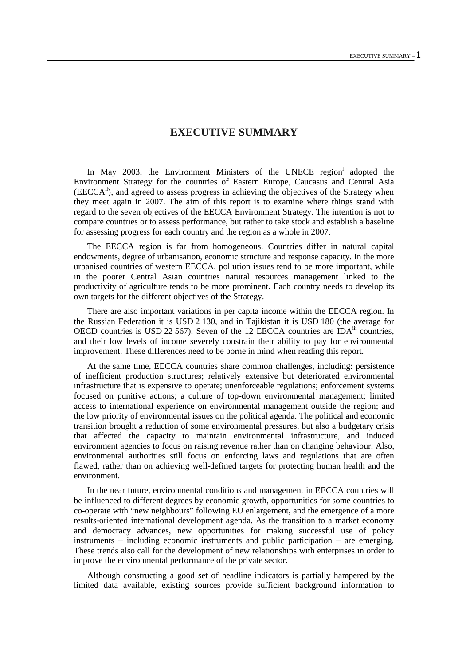## **EXECUTIVE SUMMARY**

In May 2003, the Environment Ministers of the UNECE region<sup>i</sup> adopted the Environment Strategy for the countries of Eastern Europe, Caucasus and Central Asia (EECCAii), and agreed to assess progress in achieving the objectives of the Strategy when they meet again in 2007. The aim of this report is to examine where things stand with regard to the seven objectives of the EECCA Environment Strategy. The intention is not to compare countries or to assess performance, but rather to take stock and establish a baseline for assessing progress for each country and the region as a whole in 2007.

The EECCA region is far from homogeneous. Countries differ in natural capital endowments, degree of urbanisation, economic structure and response capacity. In the more urbanised countries of western EECCA, pollution issues tend to be more important, while in the poorer Central Asian countries natural resources management linked to the productivity of agriculture tends to be more prominent. Each country needs to develop its own targets for the different objectives of the Strategy.

There are also important variations in per capita income within the EECCA region. In the Russian Federation it is USD 2 130, and in Tajikistan it is USD 180 (the average for OECD countries is USD 22 567). Seven of the 12 EECCA countries are IDA<sup>iii</sup> countries, and their low levels of income severely constrain their ability to pay for environmental improvement. These differences need to be borne in mind when reading this report.

At the same time, EECCA countries share common challenges, including: persistence of inefficient production structures; relatively extensive but deteriorated environmental infrastructure that is expensive to operate; unenforceable regulations; enforcement systems focused on punitive actions; a culture of top-down environmental management; limited access to international experience on environmental management outside the region; and the low priority of environmental issues on the political agenda. The political and economic transition brought a reduction of some environmental pressures, but also a budgetary crisis that affected the capacity to maintain environmental infrastructure, and induced environment agencies to focus on raising revenue rather than on changing behaviour. Also, environmental authorities still focus on enforcing laws and regulations that are often flawed, rather than on achieving well-defined targets for protecting human health and the environment.

In the near future, environmental conditions and management in EECCA countries will be influenced to different degrees by economic growth, opportunities for some countries to co-operate with "new neighbours" following EU enlargement, and the emergence of a more results-oriented international development agenda. As the transition to a market economy and democracy advances, new opportunities for making successful use of policy instruments – including economic instruments and public participation – are emerging. These trends also call for the development of new relationships with enterprises in order to improve the environmental performance of the private sector.

Although constructing a good set of headline indicators is partially hampered by the limited data available, existing sources provide sufficient background information to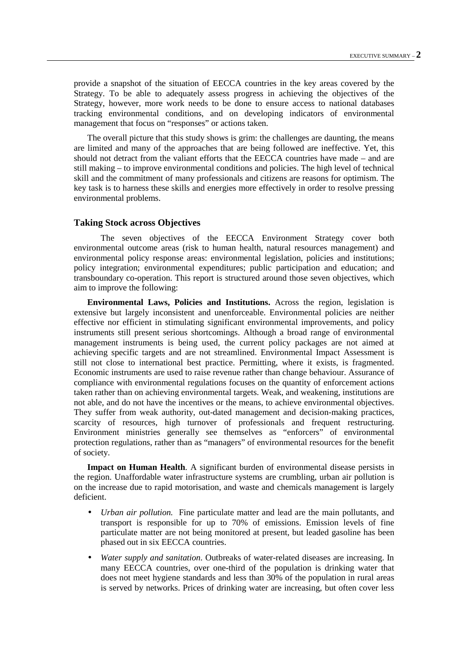provide a snapshot of the situation of EECCA countries in the key areas covered by the Strategy. To be able to adequately assess progress in achieving the objectives of the Strategy, however, more work needs to be done to ensure access to national databases tracking environmental conditions, and on developing indicators of environmental management that focus on "responses" or actions taken.

The overall picture that this study shows is grim: the challenges are daunting, the means are limited and many of the approaches that are being followed are ineffective. Yet, this should not detract from the valiant efforts that the EECCA countries have made – and are still making – to improve environmental conditions and policies. The high level of technical skill and the commitment of many professionals and citizens are reasons for optimism. The key task is to harness these skills and energies more effectively in order to resolve pressing environmental problems.

## **Taking Stock across Objectives**

 The seven objectives of the EECCA Environment Strategy cover both environmental outcome areas (risk to human health, natural resources management) and environmental policy response areas: environmental legislation, policies and institutions; policy integration; environmental expenditures; public participation and education; and transboundary co-operation. This report is structured around those seven objectives, which aim to improve the following:

**Environmental Laws, Policies and Institutions.** Across the region, legislation is extensive but largely inconsistent and unenforceable. Environmental policies are neither effective nor efficient in stimulating significant environmental improvements, and policy instruments still present serious shortcomings. Although a broad range of environmental management instruments is being used, the current policy packages are not aimed at achieving specific targets and are not streamlined. Environmental Impact Assessment is still not close to international best practice. Permitting, where it exists, is fragmented. Economic instruments are used to raise revenue rather than change behaviour. Assurance of compliance with environmental regulations focuses on the quantity of enforcement actions taken rather than on achieving environmental targets. Weak, and weakening, institutions are not able, and do not have the incentives or the means, to achieve environmental objectives. They suffer from weak authority, out-dated management and decision-making practices, scarcity of resources, high turnover of professionals and frequent restructuring. Environment ministries generally see themselves as "enforcers" of environmental protection regulations, rather than as "managers" of environmental resources for the benefit of society.

**Impact on Human Health**. A significant burden of environmental disease persists in the region. Unaffordable water infrastructure systems are crumbling, urban air pollution is on the increase due to rapid motorisation, and waste and chemicals management is largely deficient.

- *Urban air pollution.* Fine particulate matter and lead are the main pollutants, and transport is responsible for up to 70% of emissions. Emission levels of fine particulate matter are not being monitored at present, but leaded gasoline has been phased out in six EECCA countries.
- *Water supply and sanitation*. Outbreaks of water-related diseases are increasing. In many EECCA countries, over one-third of the population is drinking water that does not meet hygiene standards and less than 30% of the population in rural areas is served by networks. Prices of drinking water are increasing, but often cover less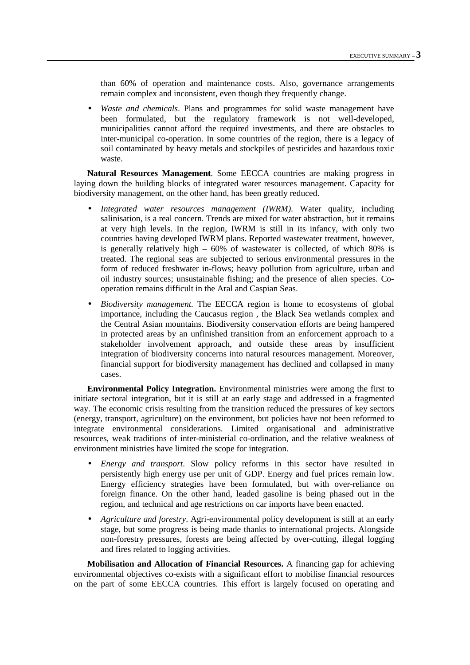than 60% of operation and maintenance costs. Also, governance arrangements remain complex and inconsistent, even though they frequently change.

• *Waste and chemicals*. Plans and programmes for solid waste management have been formulated, but the regulatory framework is not well-developed, municipalities cannot afford the required investments, and there are obstacles to inter-municipal co-operation. In some countries of the region, there is a legacy of soil contaminated by heavy metals and stockpiles of pesticides and hazardous toxic waste.

**Natural Resources Management**. Some EECCA countries are making progress in laying down the building blocks of integrated water resources management. Capacity for biodiversity management, on the other hand, has been greatly reduced.

- *Integrated water resources management (IWRM)*. Water quality, including salinisation, is a real concern. Trends are mixed for water abstraction, but it remains at very high levels. In the region, IWRM is still in its infancy, with only two countries having developed IWRM plans. Reported wastewater treatment, however, is generally relatively high – 60% of wastewater is collected, of which 80% is treated. The regional seas are subjected to serious environmental pressures in the form of reduced freshwater in-flows; heavy pollution from agriculture, urban and oil industry sources; unsustainable fishing; and the presence of alien species. Cooperation remains difficult in the Aral and Caspian Seas.
- *Biodiversity management.* The EECCA region is home to ecosystems of global importance, including the Caucasus region , the Black Sea wetlands complex and the Central Asian mountains. Biodiversity conservation efforts are being hampered in protected areas by an unfinished transition from an enforcement approach to a stakeholder involvement approach, and outside these areas by insufficient integration of biodiversity concerns into natural resources management. Moreover, financial support for biodiversity management has declined and collapsed in many cases.

**Environmental Policy Integration.** Environmental ministries were among the first to initiate sectoral integration, but it is still at an early stage and addressed in a fragmented way. The economic crisis resulting from the transition reduced the pressures of key sectors (energy, transport, agriculture) on the environment, but policies have not been reformed to integrate environmental considerations. Limited organisational and administrative resources, weak traditions of inter-ministerial co-ordination, and the relative weakness of environment ministries have limited the scope for integration.

- *Energy and transport*. Slow policy reforms in this sector have resulted in persistently high energy use per unit of GDP. Energy and fuel prices remain low. Energy efficiency strategies have been formulated, but with over-reliance on foreign finance. On the other hand, leaded gasoline is being phased out in the region, and technical and age restrictions on car imports have been enacted.
- *Agriculture and forestry*. Agri-environmental policy development is still at an early stage, but some progress is being made thanks to international projects. Alongside non-forestry pressures, forests are being affected by over-cutting, illegal logging and fires related to logging activities.

**Mobilisation and Allocation of Financial Resources.** A financing gap for achieving environmental objectives co-exists with a significant effort to mobilise financial resources on the part of some EECCA countries. This effort is largely focused on operating and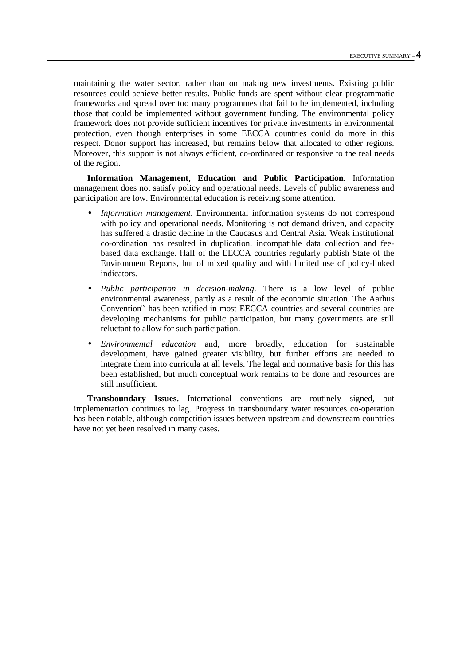maintaining the water sector, rather than on making new investments. Existing public resources could achieve better results. Public funds are spent without clear programmatic frameworks and spread over too many programmes that fail to be implemented, including those that could be implemented without government funding. The environmental policy framework does not provide sufficient incentives for private investments in environmental protection, even though enterprises in some EECCA countries could do more in this respect. Donor support has increased, but remains below that allocated to other regions. Moreover, this support is not always efficient, co-ordinated or responsive to the real needs of the region.

**Information Management, Education and Public Participation.** Information management does not satisfy policy and operational needs. Levels of public awareness and participation are low. Environmental education is receiving some attention.

- *Information management*. Environmental information systems do not correspond with policy and operational needs. Monitoring is not demand driven, and capacity has suffered a drastic decline in the Caucasus and Central Asia. Weak institutional co-ordination has resulted in duplication, incompatible data collection and feebased data exchange. Half of the EECCA countries regularly publish State of the Environment Reports, but of mixed quality and with limited use of policy-linked indicators.
- *Public participation in decision-making*. There is a low level of public environmental awareness, partly as a result of the economic situation. The Aarhus Conventioniv has been ratified in most EECCA countries and several countries are developing mechanisms for public participation, but many governments are still reluctant to allow for such participation.
- *Environmental education* and, more broadly, education for sustainable development, have gained greater visibility, but further efforts are needed to integrate them into curricula at all levels. The legal and normative basis for this has been established, but much conceptual work remains to be done and resources are still insufficient.

**Transboundary Issues.** International conventions are routinely signed, but implementation continues to lag. Progress in transboundary water resources co-operation has been notable, although competition issues between upstream and downstream countries have not yet been resolved in many cases.